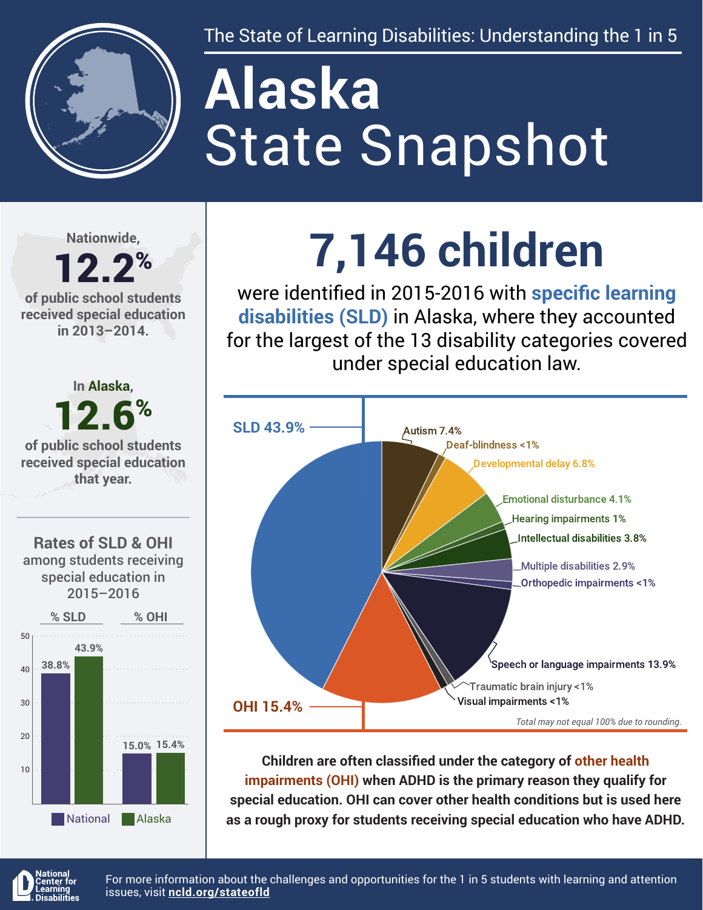

The State of Learning Disabilities: Understanding the 1 in 5

# State Snapshot **Alaska**

**Nationwide,**

#### 12.2% **of public school students received special education in 2013–2014.**



## **7,146 children**

were identified in 2015-2016 with **specific learning disabilities (SLD)** in Alaska, where they accounted for the largest of the 13 disability categories covered under special education law.



**Children are often classified under the category of other health impairments (OHI) when ADHD is the primary reason they qualify for special education. OHI can cover other health conditions but is used here as a rough proxy for students receiving special education who have ADHD.**



For more information about the challenges and opportunities for the 1 in 5 students with learning and attention issues, visit **[ncld.org/stateofld](http://ncld.org/stateofld)**